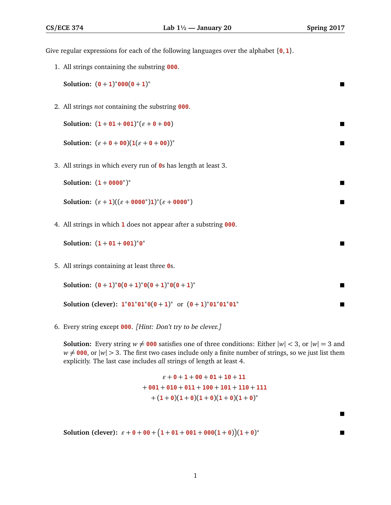Give regular expressions for each of the following languages over the alphabet {**0**, **1**}.

1. All strings containing the substring **000**.

**Solution:**  $(0 + 1)^*000(0 + 1)$ <sup>∗</sup>

2. All strings *not* containing the substring **000**.

Solution: 
$$
(1 + 01 + 001)^{*} (\varepsilon + 0 + 00)
$$

Solution: 
$$
(\varepsilon + \theta + \theta \theta)(1(\varepsilon + \theta + \theta \theta))^*
$$

3. All strings in which every run of **0**s has length at least 3.

| <b>Solution:</b> $(1 + 0000^*)^*$ |  |
|-----------------------------------|--|
|-----------------------------------|--|

Solution: 
$$
(\varepsilon + 1)((\varepsilon + 0000^*)1)^*(\varepsilon + 0000^*)
$$

4. All strings in which **1** does not appear after a substring **000**.

Solution: 
$$
(1 + 01 + 001)^*0^*
$$

5. All strings containing at least three **0**s.

Solution: 
$$
(0 + 1)^*0(0 + 1)^*0(0 + 1)^*
$$

**Solution (clever):**  $1 * 01 * 01 * 0(0 + 1) *$  or  $(0 + 1)*01 * 01 * 01$ <sup>∗</sup>

6. Every string except **000**. [Hint: Don't try to be clever.]

**Solution:** Every string  $w \neq 000$  satisfies one of three conditions: Either  $|w| < 3$ , or  $|w| = 3$  and  $w \neq 000$ , or  $|w| > 3$ . The first two cases include only a finite number of strings, so we just list them explicitly. The last case includes *all* strings of length at least 4.

> $\varepsilon + 0 + 1 + 00 + 01 + 10 + 11$ + **001** + **010** + **011** + **100** + **101** + **110** + **111**  $+ (1 + \theta)(1 + \theta)(1 + \theta)(1 + \theta)(1 + \theta)^*$

**Solution** (clever):  $\varepsilon + \theta + \theta \theta + (1 + \theta 1 + \theta \theta 1 + \theta \theta \theta (1 + \theta))(1 + \theta)$ <sup>∗</sup>

 $\blacksquare$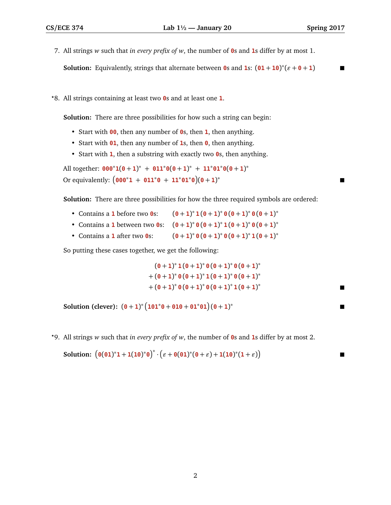- 7. All strings *w* such that *in every prefix of w*, the number of **0**s and **1**s differ by at most 1. **Solution:** Equivalently, strings that alternate between **0**s and **1**s:  $(01 + 10)^*(\epsilon + 0 + 1)$
- *?*8. All strings containing at least two **0**s and at least one **1**.

**Solution:** There are three possibilities for how such a string can begin:

- Start with **00**, then any number of **0**s, then **1**, then anything.
- Start with **01**, then any number of **1**s, then **0**, then anything.
- Start with **1**, then a substring with exactly two **0**s, then anything.

All together:  $\mathbf{000}^* \mathbf{1}(\mathbf{0} + \mathbf{1})^* + \mathbf{011}^* \mathbf{0}(\mathbf{0} + \mathbf{1})^* + \mathbf{11}^* \mathbf{01}^* \mathbf{0}(\mathbf{0} + \mathbf{1})^*$ Or equivalently:  $(000^*1 + 011^*0 + 11^*01^*0)(0+1)$ <sup>∗</sup>

**Solution:** There are three possibilities for how the three required symbols are ordered:

- Contains a **1** before two **0**s: ∗ **1** (**0** + **1**) ∗ **0** (**0** + **1**) ∗ **0** (**0** + **1**) ∗
- Contains a **1** between two **0**s:  $(0 + 1)^* 0 (0 + 1)^* 1 (0 + 1)^* 0 (0 + 1)^*$
- Contains a **1** after two **0**s: ∗ **0** (**0** + **1**) ∗ **0** (**0** + **1**) ∗ **1** (**0** + **1**) ∗

So putting these cases together, we get the following:

$$
(0 + 1)^* 1 (0 + 1)^* 0 (0 + 1)^* 0 (0 + 1)^*
$$
  
+ 
$$
(0 + 1)^* 0 (0 + 1)^* 1 (0 + 1)^* 0 (0 + 1)^*
$$
  
+ 
$$
(0 + 1)^* 0 (0 + 1)^* 0 (0 + 1)^* 1 (0 + 1)^*
$$

**Solution (clever):**  $(0 + 1)^* (101^*0 + 010 + 01^*01)(0 + 1)$ <sup>∗</sup>

*?*9. All strings *w* such that *in every prefix of w*, the number of **0**s and **1**s differ by at most 2.

Solution: 
$$
(\theta(\theta 1)^* 1 + 1(1\theta)^*\theta)^* \cdot (\varepsilon + \theta(\theta 1)^*(\theta + \varepsilon) + 1(1\theta)^*(1 + \varepsilon))
$$